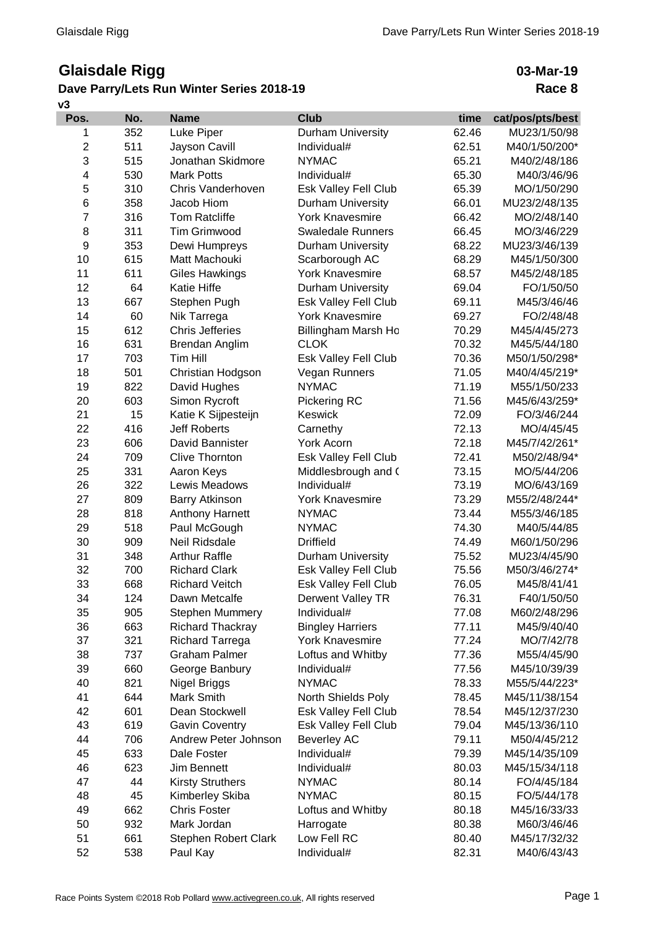## **Glaisdale Rigg**

## **Dave Parry/Lets Run Winter Series**

**v3**

| <b>Glaisdale Rigg</b> |     |                                          |                          | 03-Mar-19 |                  |
|-----------------------|-----|------------------------------------------|--------------------------|-----------|------------------|
|                       |     | ave Parry/Lets Run Winter Series 2018-19 |                          |           | Race 8           |
| Pos.                  | No. | <b>Name</b>                              | <b>Club</b>              | time      | cat/pos/pts/best |
| 1                     | 352 | Luke Piper                               | <b>Durham University</b> | 62.46     | MU23/1/50/98     |
| $\overline{2}$        | 511 | Jayson Cavill                            | Individual#              | 62.51     | M40/1/50/200*    |
| 3                     | 515 | Jonathan Skidmore                        | <b>NYMAC</b>             | 65.21     | M40/2/48/186     |
| 4                     | 530 | <b>Mark Potts</b>                        | Individual#              | 65.30     | M40/3/46/96      |
| 5                     | 310 | Chris Vanderhoven                        | Esk Valley Fell Club     | 65.39     | MO/1/50/290      |
| 6                     | 358 | Jacob Hiom                               | <b>Durham University</b> | 66.01     | MU23/2/48/135    |
| 7                     | 316 | <b>Tom Ratcliffe</b>                     | <b>York Knavesmire</b>   | 66.42     | MO/2/48/140      |
| 8                     | 311 | <b>Tim Grimwood</b>                      | <b>Swaledale Runners</b> | 66.45     | MO/3/46/229      |
| 9                     | 353 | Dewi Humpreys                            | <b>Durham University</b> | 68.22     | MU23/3/46/139    |
| 10                    | 615 | Matt Machouki                            | Scarborough AC           | 68.29     | M45/1/50/300     |
| 11                    | 611 | <b>Giles Hawkings</b>                    | <b>York Knavesmire</b>   | 68.57     | M45/2/48/185     |
| 12                    | 64  | <b>Katie Hiffe</b>                       | Durham University        | 69.04     | FO/1/50/50       |
| 13                    | 667 | Stephen Pugh                             | Esk Valley Fell Club     | 69.11     | M45/3/46/46      |
| 14                    | 60  | Nik Tarrega                              | <b>York Knavesmire</b>   | 69.27     | FO/2/48/48       |
| 15                    | 612 | <b>Chris Jefferies</b>                   | Billingham Marsh Ho      | 70.29     | M45/4/45/273     |
| 16                    | 631 | Brendan Anglim                           | <b>CLOK</b>              | 70.32     | M45/5/44/180     |
| 17                    | 703 | Tim Hill                                 | Esk Valley Fell Club     | 70.36     | M50/1/50/298*    |
| 18                    | 501 | Christian Hodgson                        | Vegan Runners            | 71.05     | M40/4/45/219*    |
| 19                    | 822 | David Hughes                             | <b>NYMAC</b>             | 71.19     | M55/1/50/233     |
| 20                    | 603 | Simon Rycroft                            | Pickering RC             | 71.56     | M45/6/43/259*    |
| 21                    | 15  | Katie K Sijpesteijn                      | <b>Keswick</b>           | 72.09     | FO/3/46/244      |
| 22                    | 416 | <b>Jeff Roberts</b>                      | Carnethy                 | 72.13     | MO/4/45/45       |
| 23                    | 606 | David Bannister                          | York Acorn               | 72.18     | M45/7/42/261*    |
| 24                    | 709 | <b>Clive Thornton</b>                    | Esk Valley Fell Club     | 72.41     | M50/2/48/94*     |
| 25                    | 331 | Aaron Keys                               | Middlesbrough and (      | 73.15     | MO/5/44/206      |

| 9  | 353 | Dewi Humpreys               | <b>Durham University</b> | 68.22 | MU23/3/46/139 |
|----|-----|-----------------------------|--------------------------|-------|---------------|
| 10 | 615 | Matt Machouki               | Scarborough AC           | 68.29 | M45/1/50/300  |
| 11 | 611 | Giles Hawkings              | <b>York Knavesmire</b>   | 68.57 | M45/2/48/185  |
| 12 | 64  | Katie Hiffe                 | <b>Durham University</b> | 69.04 | FO/1/50/50    |
| 13 | 667 | Stephen Pugh                | Esk Valley Fell Club     | 69.11 | M45/3/46/46   |
| 14 | 60  | Nik Tarrega                 | <b>York Knavesmire</b>   | 69.27 | FO/2/48/48    |
| 15 | 612 | <b>Chris Jefferies</b>      | Billingham Marsh Ho      | 70.29 | M45/4/45/273  |
| 16 | 631 | Brendan Anglim              | <b>CLOK</b>              | 70.32 | M45/5/44/180  |
| 17 | 703 | Tim Hill                    | Esk Valley Fell Club     | 70.36 | M50/1/50/298* |
| 18 | 501 | Christian Hodgson           | Vegan Runners            | 71.05 | M40/4/45/219* |
| 19 | 822 | David Hughes                | <b>NYMAC</b>             | 71.19 | M55/1/50/233  |
| 20 | 603 | Simon Rycroft               | Pickering RC             | 71.56 | M45/6/43/259* |
| 21 | 15  | Katie K Sijpesteijn         | <b>Keswick</b>           | 72.09 | FO/3/46/244   |
| 22 | 416 | <b>Jeff Roberts</b>         | Carnethy                 | 72.13 | MO/4/45/45    |
| 23 | 606 | David Bannister             | York Acorn               | 72.18 | M45/7/42/261* |
| 24 | 709 | <b>Clive Thornton</b>       | Esk Valley Fell Club     | 72.41 | M50/2/48/94*  |
| 25 | 331 | Aaron Keys                  | Middlesbrough and (      | 73.15 | MO/5/44/206   |
| 26 | 322 | Lewis Meadows               | Individual#              | 73.19 | MO/6/43/169   |
| 27 | 809 | <b>Barry Atkinson</b>       | <b>York Knavesmire</b>   | 73.29 | M55/2/48/244* |
| 28 | 818 | <b>Anthony Harnett</b>      | <b>NYMAC</b>             | 73.44 | M55/3/46/185  |
| 29 | 518 | Paul McGough                | <b>NYMAC</b>             | 74.30 | M40/5/44/85   |
| 30 | 909 | Neil Ridsdale               | <b>Driffield</b>         | 74.49 | M60/1/50/296  |
| 31 | 348 | <b>Arthur Raffle</b>        | <b>Durham University</b> | 75.52 | MU23/4/45/90  |
| 32 | 700 | <b>Richard Clark</b>        | Esk Valley Fell Club     | 75.56 | M50/3/46/274* |
| 33 | 668 | <b>Richard Veitch</b>       | Esk Valley Fell Club     | 76.05 | M45/8/41/41   |
| 34 | 124 | Dawn Metcalfe               | Derwent Valley TR        | 76.31 | F40/1/50/50   |
| 35 | 905 | <b>Stephen Mummery</b>      | Individual#              | 77.08 | M60/2/48/296  |
| 36 | 663 | <b>Richard Thackray</b>     | <b>Bingley Harriers</b>  | 77.11 | M45/9/40/40   |
| 37 | 321 | <b>Richard Tarrega</b>      | York Knavesmire          | 77.24 | MO/7/42/78    |
| 38 | 737 | <b>Graham Palmer</b>        | Loftus and Whitby        | 77.36 | M55/4/45/90   |
| 39 | 660 | George Banbury              | Individual#              | 77.56 | M45/10/39/39  |
| 40 | 821 | Nigel Briggs                | <b>NYMAC</b>             | 78.33 | M55/5/44/223* |
| 41 | 644 | Mark Smith                  | North Shields Poly       | 78.45 | M45/11/38/154 |
| 42 | 601 | Dean Stockwell              | Esk Valley Fell Club     | 78.54 | M45/12/37/230 |
| 43 | 619 | <b>Gavin Coventry</b>       | Esk Valley Fell Club     | 79.04 | M45/13/36/110 |
| 44 | 706 | Andrew Peter Johnson        | <b>Beverley AC</b>       | 79.11 | M50/4/45/212  |
| 45 | 633 | Dale Foster                 | Individual#              | 79.39 | M45/14/35/109 |
| 46 | 623 | Jim Bennett                 | Individual#              | 80.03 | M45/15/34/118 |
| 47 | 44  | <b>Kirsty Struthers</b>     | <b>NYMAC</b>             | 80.14 | FO/4/45/184   |
| 48 | 45  | Kimberley Skiba             | <b>NYMAC</b>             | 80.15 | FO/5/44/178   |
| 49 | 662 | <b>Chris Foster</b>         | Loftus and Whitby        | 80.18 | M45/16/33/33  |
| 50 | 932 | Mark Jordan                 | Harrogate                | 80.38 | M60/3/46/46   |
| 51 | 661 | <b>Stephen Robert Clark</b> | Low Fell RC              | 80.40 | M45/17/32/32  |
| 52 | 538 | Paul Kay                    | Individual#              | 82.31 | M40/6/43/43   |
|    |     |                             |                          |       |               |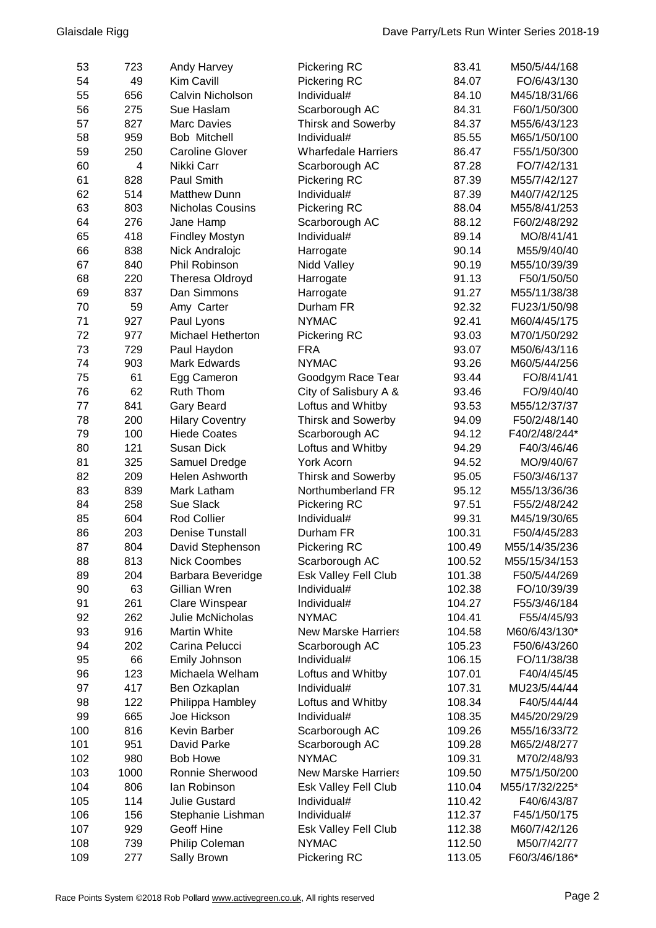| 53  | 723  | <b>Andy Harvey</b>       | Pickering RC               | 83.41  | M50/5/44/168   |
|-----|------|--------------------------|----------------------------|--------|----------------|
| 54  | 49   | Kim Cavill               | Pickering RC               | 84.07  | FO/6/43/130    |
| 55  | 656  | Calvin Nicholson         | Individual#                | 84.10  | M45/18/31/66   |
| 56  | 275  | Sue Haslam               | Scarborough AC             | 84.31  | F60/1/50/300   |
| 57  | 827  | <b>Marc Davies</b>       | <b>Thirsk and Sowerby</b>  | 84.37  | M55/6/43/123   |
| 58  | 959  | Bob Mitchell             | Individual#                | 85.55  | M65/1/50/100   |
| 59  | 250  | <b>Caroline Glover</b>   | <b>Wharfedale Harriers</b> | 86.47  | F55/1/50/300   |
| 60  | 4    | Nikki Carr               | Scarborough AC             | 87.28  | FO/7/42/131    |
| 61  | 828  | Paul Smith               | Pickering RC               | 87.39  | M55/7/42/127   |
| 62  | 514  | <b>Matthew Dunn</b>      | Individual#                | 87.39  | M40/7/42/125   |
| 63  | 803  | Nicholas Cousins         | Pickering RC               | 88.04  | M55/8/41/253   |
| 64  | 276  | Jane Hamp                | Scarborough AC             | 88.12  | F60/2/48/292   |
| 65  | 418  | <b>Findley Mostyn</b>    | Individual#                | 89.14  | MO/8/41/41     |
| 66  | 838  | Nick Andralojc           | Harrogate                  | 90.14  | M55/9/40/40    |
| 67  | 840  | Phil Robinson            | Nidd Valley                | 90.19  | M55/10/39/39   |
| 68  | 220  | Theresa Oldroyd          | Harrogate                  | 91.13  | F50/1/50/50    |
| 69  | 837  | Dan Simmons              | Harrogate                  | 91.27  | M55/11/38/38   |
| 70  | 59   | Amy Carter               | Durham FR                  | 92.32  | FU23/1/50/98   |
| 71  | 927  | Paul Lyons               | <b>NYMAC</b>               | 92.41  | M60/4/45/175   |
| 72  | 977  | <b>Michael Hetherton</b> | Pickering RC               | 93.03  | M70/1/50/292   |
| 73  | 729  | Paul Haydon              | <b>FRA</b>                 | 93.07  | M50/6/43/116   |
| 74  | 903  | <b>Mark Edwards</b>      | <b>NYMAC</b>               | 93.26  | M60/5/44/256   |
| 75  | 61   | Egg Cameron              | Goodgym Race Tear          | 93.44  | FO/8/41/41     |
| 76  | 62   | Ruth Thom                | City of Salisbury A &      | 93.46  | FO/9/40/40     |
| 77  | 841  | Gary Beard               | Loftus and Whitby          | 93.53  | M55/12/37/37   |
| 78  | 200  | <b>Hilary Coventry</b>   | <b>Thirsk and Sowerby</b>  | 94.09  | F50/2/48/140   |
| 79  | 100  | <b>Hiede Coates</b>      | Scarborough AC             | 94.12  | F40/2/48/244*  |
| 80  | 121  | <b>Susan Dick</b>        | Loftus and Whitby          | 94.29  | F40/3/46/46    |
| 81  | 325  | Samuel Dredge            | York Acorn                 | 94.52  | MO/9/40/67     |
| 82  | 209  | Helen Ashworth           | <b>Thirsk and Sowerby</b>  | 95.05  | F50/3/46/137   |
| 83  | 839  | Mark Latham              | Northumberland FR          | 95.12  | M55/13/36/36   |
| 84  | 258  | Sue Slack                | Pickering RC               | 97.51  | F55/2/48/242   |
| 85  | 604  | Rod Collier              | Individual#                | 99.31  | M45/19/30/65   |
| 86  | 203  | <b>Denise Tunstall</b>   | Durham FR                  | 100.31 | F50/4/45/283   |
| 87  | 804  | David Stephenson         | Pickering RC               | 100.49 | M55/14/35/236  |
| 88  | 813  | <b>Nick Coombes</b>      | Scarborough AC             | 100.52 | M55/15/34/153  |
| 89  | 204  | Barbara Beveridge        | Esk Valley Fell Club       | 101.38 | F50/5/44/269   |
| 90  | 63   | Gillian Wren             | Individual#                | 102.38 | FO/10/39/39    |
| 91  | 261  | Clare Winspear           | Individual#                | 104.27 | F55/3/46/184   |
| 92  | 262  | Julie McNicholas         | <b>NYMAC</b>               | 104.41 | F55/4/45/93    |
| 93  | 916  | Martin White             | <b>New Marske Harriers</b> | 104.58 | M60/6/43/130*  |
| 94  | 202  | Carina Pelucci           | Scarborough AC             | 105.23 | F50/6/43/260   |
| 95  | 66   | Emily Johnson            | Individual#                | 106.15 | FO/11/38/38    |
| 96  | 123  | Michaela Welham          | Loftus and Whitby          | 107.01 | F40/4/45/45    |
| 97  | 417  | Ben Ozkaplan             | Individual#                | 107.31 | MU23/5/44/44   |
| 98  | 122  | Philippa Hambley         | Loftus and Whitby          | 108.34 | F40/5/44/44    |
| 99  | 665  | Joe Hickson              | Individual#                | 108.35 | M45/20/29/29   |
| 100 | 816  | Kevin Barber             | Scarborough AC             | 109.26 | M55/16/33/72   |
| 101 | 951  | David Parke              | Scarborough AC             | 109.28 | M65/2/48/277   |
| 102 | 980  | <b>Bob Howe</b>          | <b>NYMAC</b>               | 109.31 | M70/2/48/93    |
| 103 | 1000 | Ronnie Sherwood          | <b>New Marske Harriers</b> | 109.50 | M75/1/50/200   |
| 104 | 806  | lan Robinson             | Esk Valley Fell Club       | 110.04 | M55/17/32/225* |
| 105 | 114  | <b>Julie Gustard</b>     | Individual#                | 110.42 | F40/6/43/87    |
| 106 | 156  | Stephanie Lishman        | Individual#                | 112.37 | F45/1/50/175   |
| 107 | 929  | Geoff Hine               | Esk Valley Fell Club       | 112.38 | M60/7/42/126   |
| 108 | 739  | Philip Coleman           | <b>NYMAC</b>               | 112.50 | M50/7/42/77    |
| 109 | 277  | Sally Brown              | Pickering RC               | 113.05 | F60/3/46/186*  |